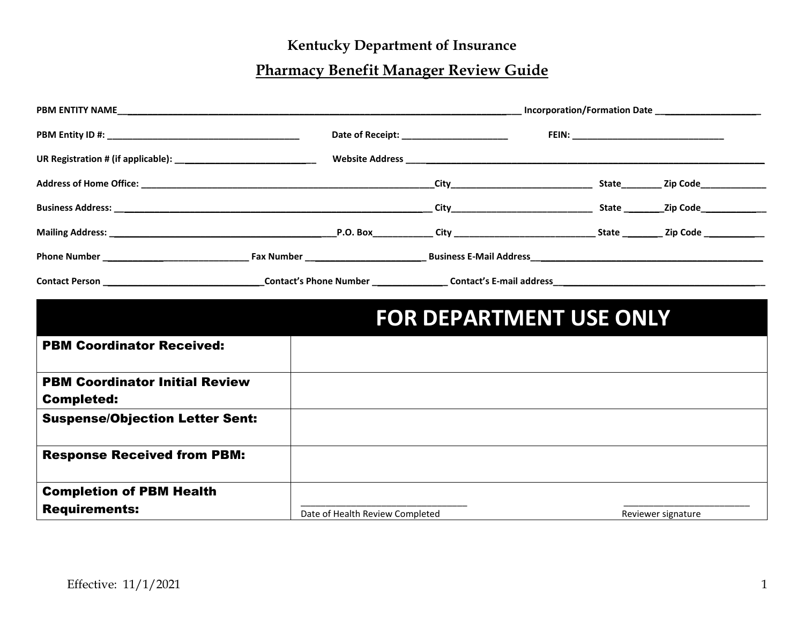## **Kentucky Department of Insurance**

## **Pharmacy Benefit Manager Review Guide**

|                                                            |                                 | <b>FOR DEPARTMENT USE ONLY</b> |  |                    |
|------------------------------------------------------------|---------------------------------|--------------------------------|--|--------------------|
| <b>PBM Coordinator Received:</b>                           |                                 |                                |  |                    |
| <b>PBM Coordinator Initial Review</b><br><b>Completed:</b> |                                 |                                |  |                    |
| <b>Suspense/Objection Letter Sent:</b>                     |                                 |                                |  |                    |
| <b>Response Received from PBM:</b>                         |                                 |                                |  |                    |
| <b>Completion of PBM Health</b><br><b>Requirements:</b>    | Date of Health Review Completed |                                |  | Reviewer signature |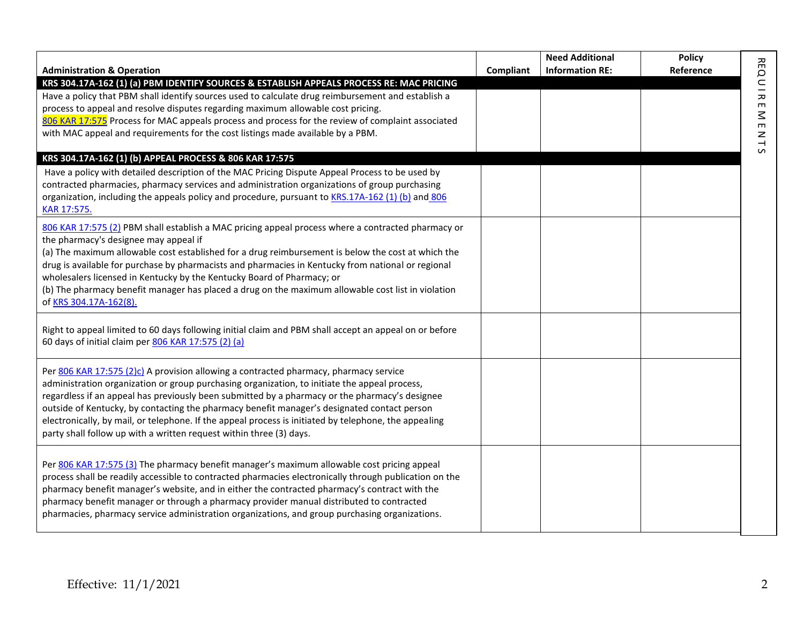| <b>Administration &amp; Operation</b>                                                                                                                                                                                                                                                                                                                                                                                                                                                                                                                                   | Compliant | <b>Need Additional</b><br><b>Information RE:</b> | <b>Policy</b><br>Reference |                       |
|-------------------------------------------------------------------------------------------------------------------------------------------------------------------------------------------------------------------------------------------------------------------------------------------------------------------------------------------------------------------------------------------------------------------------------------------------------------------------------------------------------------------------------------------------------------------------|-----------|--------------------------------------------------|----------------------------|-----------------------|
| KRS 304.17A-162 (1) (a) PBM IDENTIFY SOURCES & ESTABLISH APPEALS PROCESS RE: MAC PRICING                                                                                                                                                                                                                                                                                                                                                                                                                                                                                |           |                                                  |                            |                       |
| Have a policy that PBM shall identify sources used to calculate drug reimbursement and establish a<br>process to appeal and resolve disputes regarding maximum allowable cost pricing.                                                                                                                                                                                                                                                                                                                                                                                  |           |                                                  |                            | <b>REQUIRE</b>        |
| 806 KAR 17:575 Process for MAC appeals process and process for the review of complaint associated                                                                                                                                                                                                                                                                                                                                                                                                                                                                       |           |                                                  |                            | $\leq$                |
| with MAC appeal and requirements for the cost listings made available by a PBM.                                                                                                                                                                                                                                                                                                                                                                                                                                                                                         |           |                                                  |                            | $\blacksquare$<br>NTS |
| KRS 304.17A-162 (1) (b) APPEAL PROCESS & 806 KAR 17:575                                                                                                                                                                                                                                                                                                                                                                                                                                                                                                                 |           |                                                  |                            |                       |
| Have a policy with detailed description of the MAC Pricing Dispute Appeal Process to be used by<br>contracted pharmacies, pharmacy services and administration organizations of group purchasing<br>organization, including the appeals policy and procedure, pursuant to KRS.17A-162 (1) (b) and 806<br>KAR 17:575.                                                                                                                                                                                                                                                    |           |                                                  |                            |                       |
| 806 KAR 17:575 (2) PBM shall establish a MAC pricing appeal process where a contracted pharmacy or<br>the pharmacy's designee may appeal if<br>(a) The maximum allowable cost established for a drug reimbursement is below the cost at which the<br>drug is available for purchase by pharmacists and pharmacies in Kentucky from national or regional<br>wholesalers licensed in Kentucky by the Kentucky Board of Pharmacy; or<br>(b) The pharmacy benefit manager has placed a drug on the maximum allowable cost list in violation<br>of KRS 304.17A-162(8).       |           |                                                  |                            |                       |
| Right to appeal limited to 60 days following initial claim and PBM shall accept an appeal on or before<br>60 days of initial claim per 806 KAR 17:575 (2) (a)                                                                                                                                                                                                                                                                                                                                                                                                           |           |                                                  |                            |                       |
| Per 806 KAR 17:575 (2)c) A provision allowing a contracted pharmacy, pharmacy service<br>administration organization or group purchasing organization, to initiate the appeal process,<br>regardless if an appeal has previously been submitted by a pharmacy or the pharmacy's designee<br>outside of Kentucky, by contacting the pharmacy benefit manager's designated contact person<br>electronically, by mail, or telephone. If the appeal process is initiated by telephone, the appealing<br>party shall follow up with a written request within three (3) days. |           |                                                  |                            |                       |
| Per 806 KAR 17:575 (3) The pharmacy benefit manager's maximum allowable cost pricing appeal<br>process shall be readily accessible to contracted pharmacies electronically through publication on the<br>pharmacy benefit manager's website, and in either the contracted pharmacy's contract with the<br>pharmacy benefit manager or through a pharmacy provider manual distributed to contracted<br>pharmacies, pharmacy service administration organizations, and group purchasing organizations.                                                                    |           |                                                  |                            |                       |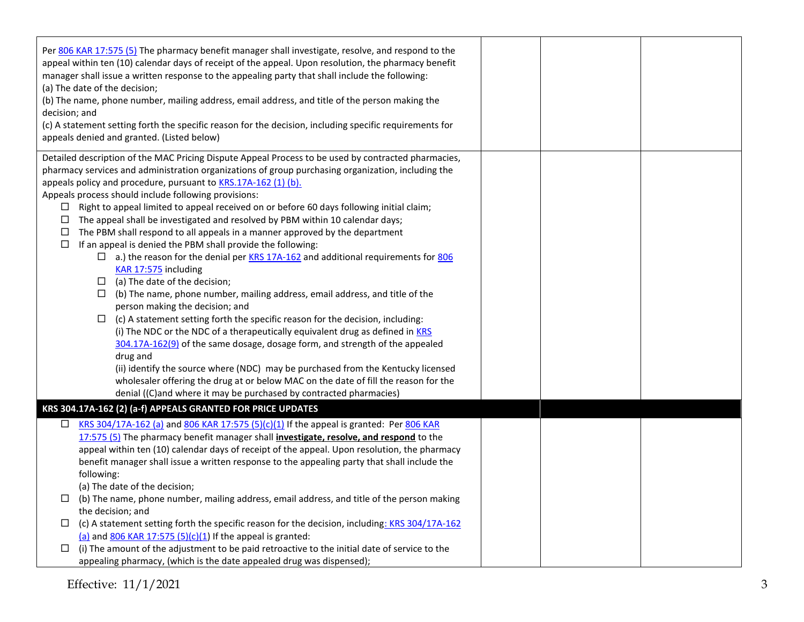| Per 806 KAR 17:575 (5) The pharmacy benefit manager shall investigate, resolve, and respond to the<br>appeal within ten (10) calendar days of receipt of the appeal. Upon resolution, the pharmacy benefit<br>manager shall issue a written response to the appealing party that shall include the following:<br>(a) The date of the decision;<br>(b) The name, phone number, mailing address, email address, and title of the person making the<br>decision; and<br>(c) A statement setting forth the specific reason for the decision, including specific requirements for<br>appeals denied and granted. (Listed below)                                                                                                                                                                                                                                                                                                                                                                                                                                                                                                                                                                                                                                                                                                                                                                                                                                                                                      |  |  |
|-----------------------------------------------------------------------------------------------------------------------------------------------------------------------------------------------------------------------------------------------------------------------------------------------------------------------------------------------------------------------------------------------------------------------------------------------------------------------------------------------------------------------------------------------------------------------------------------------------------------------------------------------------------------------------------------------------------------------------------------------------------------------------------------------------------------------------------------------------------------------------------------------------------------------------------------------------------------------------------------------------------------------------------------------------------------------------------------------------------------------------------------------------------------------------------------------------------------------------------------------------------------------------------------------------------------------------------------------------------------------------------------------------------------------------------------------------------------------------------------------------------------|--|--|
| Detailed description of the MAC Pricing Dispute Appeal Process to be used by contracted pharmacies,<br>pharmacy services and administration organizations of group purchasing organization, including the<br>appeals policy and procedure, pursuant to KRS.17A-162 (1) (b).<br>Appeals process should include following provisions:<br>Right to appeal limited to appeal received on or before 60 days following initial claim;<br>ப<br>The appeal shall be investigated and resolved by PBM within 10 calendar days;<br>$\Box$<br>The PBM shall respond to all appeals in a manner approved by the department<br>$\Box$<br>If an appeal is denied the PBM shall provide the following:<br>$\Box$<br>$\Box$ a.) the reason for the denial per KRS 17A-162 and additional requirements for 806<br>KAR 17:575 including<br>$\Box$ (a) The date of the decision;<br>(b) The name, phone number, mailing address, email address, and title of the<br>□<br>person making the decision; and<br>$\Box$<br>(c) A statement setting forth the specific reason for the decision, including:<br>(i) The NDC or the NDC of a therapeutically equivalent drug as defined in KRS<br>304.17A-162(9) of the same dosage, dosage form, and strength of the appealed<br>drug and<br>(ii) identify the source where (NDC) may be purchased from the Kentucky licensed<br>wholesaler offering the drug at or below MAC on the date of fill the reason for the<br>denial ((C)and where it may be purchased by contracted pharmacies) |  |  |
| KRS 304.17A-162 (2) (a-f) APPEALS GRANTED FOR PRICE UPDATES<br>KRS 304/17A-162 (a) and 806 KAR 17:575 (5)(c)(1) If the appeal is granted: Per 806 KAR<br>$\Box$<br>17:575 (5) The pharmacy benefit manager shall <i>investigate, resolve, and respond</i> to the<br>appeal within ten (10) calendar days of receipt of the appeal. Upon resolution, the pharmacy<br>benefit manager shall issue a written response to the appealing party that shall include the<br>following:<br>(a) The date of the decision;<br>(b) The name, phone number, mailing address, email address, and title of the person making<br>⊔<br>the decision; and<br>(c) A statement setting forth the specific reason for the decision, including: KRS 304/17A-162<br>⊔<br>(a) and $806$ KAR 17:575 (5)(c)(1) If the appeal is granted:<br>(i) The amount of the adjustment to be paid retroactive to the initial date of service to the<br>ш<br>appealing pharmacy, (which is the date appealed drug was dispensed);                                                                                                                                                                                                                                                                                                                                                                                                                                                                                                                    |  |  |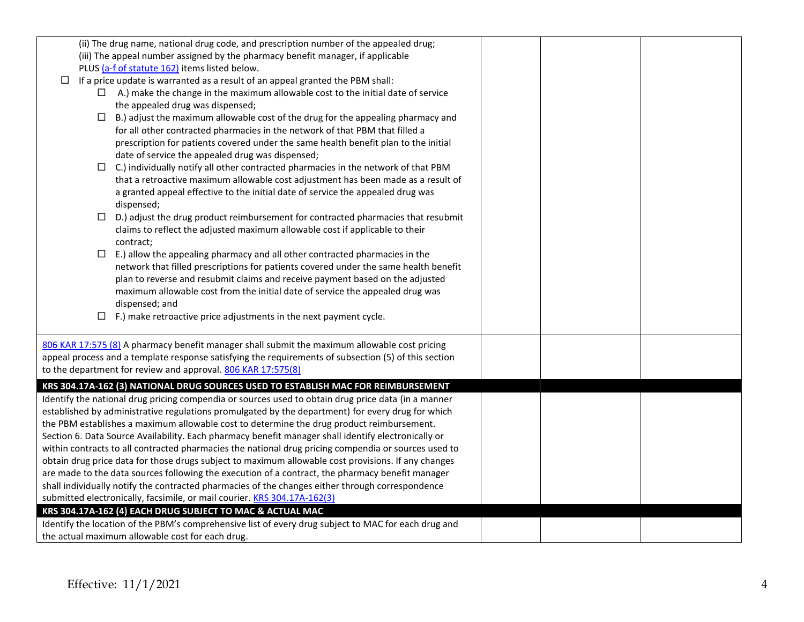| (ii) The drug name, national drug code, and prescription number of the appealed drug;                |  |  |
|------------------------------------------------------------------------------------------------------|--|--|
| (iii) The appeal number assigned by the pharmacy benefit manager, if applicable                      |  |  |
| PLUS (a-f of statute 162) items listed below.                                                        |  |  |
| If a price update is warranted as a result of an appeal granted the PBM shall:<br>□                  |  |  |
| A.) make the change in the maximum allowable cost to the initial date of service<br>$\Box$           |  |  |
| the appealed drug was dispensed;                                                                     |  |  |
| $\Box$<br>B.) adjust the maximum allowable cost of the drug for the appealing pharmacy and           |  |  |
| for all other contracted pharmacies in the network of that PBM that filled a                         |  |  |
| prescription for patients covered under the same health benefit plan to the initial                  |  |  |
| date of service the appealed drug was dispensed;                                                     |  |  |
| C.) individually notify all other contracted pharmacies in the network of that PBM<br>$\Box$         |  |  |
| that a retroactive maximum allowable cost adjustment has been made as a result of                    |  |  |
| a granted appeal effective to the initial date of service the appealed drug was                      |  |  |
| dispensed;                                                                                           |  |  |
| D.) adjust the drug product reimbursement for contracted pharmacies that resubmit<br>$\Box$          |  |  |
| claims to reflect the adjusted maximum allowable cost if applicable to their                         |  |  |
| contract;                                                                                            |  |  |
| $\Box$<br>E.) allow the appealing pharmacy and all other contracted pharmacies in the                |  |  |
| network that filled prescriptions for patients covered under the same health benefit                 |  |  |
| plan to reverse and resubmit claims and receive payment based on the adjusted                        |  |  |
| maximum allowable cost from the initial date of service the appealed drug was                        |  |  |
| dispensed; and                                                                                       |  |  |
| $\Box$ F.) make retroactive price adjustments in the next payment cycle.                             |  |  |
|                                                                                                      |  |  |
| 806 KAR 17:575 (8) A pharmacy benefit manager shall submit the maximum allowable cost pricing        |  |  |
| appeal process and a template response satisfying the requirements of subsection (5) of this section |  |  |
| to the department for review and approval. 806 KAR 17:575(8)                                         |  |  |
| KRS 304.17A-162 (3) NATIONAL DRUG SOURCES USED TO ESTABLISH MAC FOR REIMBURSEMENT                    |  |  |
| Identify the national drug pricing compendia or sources used to obtain drug price data (in a manner  |  |  |
| established by administrative regulations promulgated by the department) for every drug for which    |  |  |
| the PBM establishes a maximum allowable cost to determine the drug product reimbursement.            |  |  |
| Section 6. Data Source Availability. Each pharmacy benefit manager shall identify electronically or  |  |  |
| within contracts to all contracted pharmacies the national drug pricing compendia or sources used to |  |  |
| obtain drug price data for those drugs subject to maximum allowable cost provisions. If any changes  |  |  |
| are made to the data sources following the execution of a contract, the pharmacy benefit manager     |  |  |
| shall individually notify the contracted pharmacies of the changes either through correspondence     |  |  |
| submitted electronically, facsimile, or mail courier. KRS 304.17A-162(3)                             |  |  |
| KRS 304.17A-162 (4) EACH DRUG SUBJECT TO MAC & ACTUAL MAC                                            |  |  |
| Identify the location of the PBM's comprehensive list of every drug subject to MAC for each drug and |  |  |
| the actual maximum allowable cost for each drug.                                                     |  |  |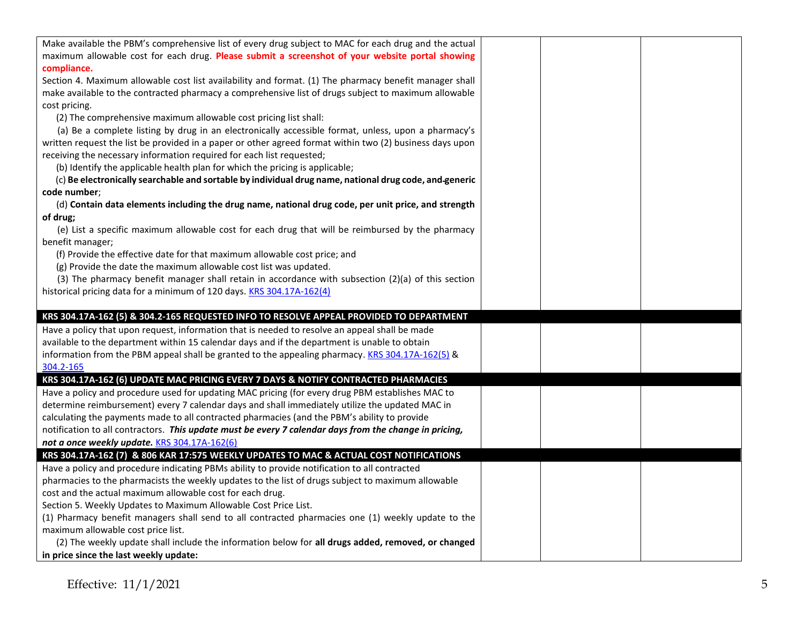| Make available the PBM's comprehensive list of every drug subject to MAC for each drug and the actual    |  |  |
|----------------------------------------------------------------------------------------------------------|--|--|
| maximum allowable cost for each drug. Please submit a screenshot of your website portal showing          |  |  |
| compliance.                                                                                              |  |  |
| Section 4. Maximum allowable cost list availability and format. (1) The pharmacy benefit manager shall   |  |  |
| make available to the contracted pharmacy a comprehensive list of drugs subject to maximum allowable     |  |  |
| cost pricing.                                                                                            |  |  |
| (2) The comprehensive maximum allowable cost pricing list shall:                                         |  |  |
| (a) Be a complete listing by drug in an electronically accessible format, unless, upon a pharmacy's      |  |  |
| written request the list be provided in a paper or other agreed format within two (2) business days upon |  |  |
| receiving the necessary information required for each list requested;                                    |  |  |
| (b) Identify the applicable health plan for which the pricing is applicable;                             |  |  |
| (c) Be electronically searchable and sortable by individual drug name, national drug code, and generic   |  |  |
| code number;                                                                                             |  |  |
| (d) Contain data elements including the drug name, national drug code, per unit price, and strength      |  |  |
| of drug;                                                                                                 |  |  |
| (e) List a specific maximum allowable cost for each drug that will be reimbursed by the pharmacy         |  |  |
| benefit manager;                                                                                         |  |  |
| (f) Provide the effective date for that maximum allowable cost price; and                                |  |  |
| (g) Provide the date the maximum allowable cost list was updated.                                        |  |  |
| (3) The pharmacy benefit manager shall retain in accordance with subsection $(2)(a)$ of this section     |  |  |
| historical pricing data for a minimum of 120 days. KRS 304.17A-162(4)                                    |  |  |
|                                                                                                          |  |  |
| KRS 304.17A-162 (5) & 304.2-165 REQUESTED INFO TO RESOLVE APPEAL PROVIDED TO DEPARTMENT                  |  |  |
| Have a policy that upon request, information that is needed to resolve an appeal shall be made           |  |  |
| available to the department within 15 calendar days and if the department is unable to obtain            |  |  |
| information from the PBM appeal shall be granted to the appealing pharmacy. KRS 304.17A-162(5) &         |  |  |
| 304.2-165                                                                                                |  |  |
| KRS 304.17A-162 (6) UPDATE MAC PRICING EVERY 7 DAYS & NOTIFY CONTRACTED PHARMACIES                       |  |  |
| Have a policy and procedure used for updating MAC pricing (for every drug PBM establishes MAC to         |  |  |
| determine reimbursement) every 7 calendar days and shall immediately utilize the updated MAC in          |  |  |
| calculating the payments made to all contracted pharmacies (and the PBM's ability to provide             |  |  |
| notification to all contractors. This update must be every 7 calendar days from the change in pricing,   |  |  |
| not a once weekly update. KRS 304.17A-162(6)                                                             |  |  |
| KRS 304.17A-162 (7) & 806 KAR 17:575 WEEKLY UPDATES TO MAC & ACTUAL COST NOTIFICATIONS                   |  |  |
| Have a policy and procedure indicating PBMs ability to provide notification to all contracted            |  |  |
| pharmacies to the pharmacists the weekly updates to the list of drugs subject to maximum allowable       |  |  |
| cost and the actual maximum allowable cost for each drug.                                                |  |  |
| Section 5. Weekly Updates to Maximum Allowable Cost Price List.                                          |  |  |
| (1) Pharmacy benefit managers shall send to all contracted pharmacies one (1) weekly update to the       |  |  |
| maximum allowable cost price list.                                                                       |  |  |
| (2) The weekly update shall include the information below for all drugs added, removed, or changed       |  |  |
| in price since the last weekly update:                                                                   |  |  |
|                                                                                                          |  |  |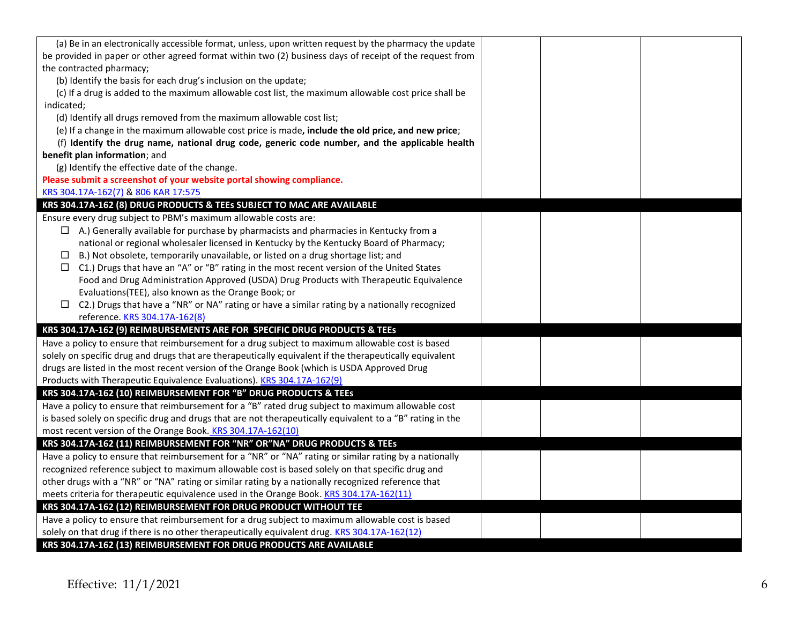| (a) Be in an electronically accessible format, unless, upon written request by the pharmacy the update    |  |  |
|-----------------------------------------------------------------------------------------------------------|--|--|
| be provided in paper or other agreed format within two (2) business days of receipt of the request from   |  |  |
| the contracted pharmacy;                                                                                  |  |  |
| (b) Identify the basis for each drug's inclusion on the update;                                           |  |  |
| (c) If a drug is added to the maximum allowable cost list, the maximum allowable cost price shall be      |  |  |
| indicated;                                                                                                |  |  |
| (d) Identify all drugs removed from the maximum allowable cost list;                                      |  |  |
| (e) If a change in the maximum allowable cost price is made, include the old price, and new price;        |  |  |
| (f) Identify the drug name, national drug code, generic code number, and the applicable health            |  |  |
| benefit plan information; and                                                                             |  |  |
| (g) Identify the effective date of the change.                                                            |  |  |
| Please submit a screenshot of your website portal showing compliance.                                     |  |  |
| KRS 304.17A-162(7) & 806 KAR 17:575                                                                       |  |  |
| KRS 304.17A-162 (8) DRUG PRODUCTS & TEEs SUBJECT TO MAC ARE AVAILABLE                                     |  |  |
| Ensure every drug subject to PBM's maximum allowable costs are:                                           |  |  |
| $\Box$ A.) Generally available for purchase by pharmacists and pharmacies in Kentucky from a              |  |  |
| national or regional wholesaler licensed in Kentucky by the Kentucky Board of Pharmacy;                   |  |  |
| B.) Not obsolete, temporarily unavailable, or listed on a drug shortage list; and<br>ப                    |  |  |
| $\Box$ C1.) Drugs that have an "A" or "B" rating in the most recent version of the United States          |  |  |
| Food and Drug Administration Approved (USDA) Drug Products with Therapeutic Equivalence                   |  |  |
| Evaluations(TEE), also known as the Orange Book; or                                                       |  |  |
| $\Box$ C2.) Drugs that have a "NR" or NA" rating or have a similar rating by a nationally recognized      |  |  |
| reference. KRS 304.17A-162(8)                                                                             |  |  |
| KRS 304.17A-162 (9) REIMBURSEMENTS ARE FOR SPECIFIC DRUG PRODUCTS & TEEs                                  |  |  |
| Have a policy to ensure that reimbursement for a drug subject to maximum allowable cost is based          |  |  |
| solely on specific drug and drugs that are therapeutically equivalent if the therapeutically equivalent   |  |  |
| drugs are listed in the most recent version of the Orange Book (which is USDA Approved Drug               |  |  |
| Products with Therapeutic Equivalence Evaluations). KRS 304.17A-162(9)                                    |  |  |
| KRS 304.17A-162 (10) REIMBURSEMENT FOR "B" DRUG PRODUCTS & TEEs                                           |  |  |
| Have a policy to ensure that reimbursement for a "B" rated drug subject to maximum allowable cost         |  |  |
| is based solely on specific drug and drugs that are not therapeutically equivalent to a "B" rating in the |  |  |
| most recent version of the Orange Book. KRS 304.17A-162(10)                                               |  |  |
| KRS 304.17A-162 (11) REIMBURSEMENT FOR "NR" OR"NA" DRUG PRODUCTS & TEEs                                   |  |  |
| Have a policy to ensure that reimbursement for a "NR" or "NA" rating or similar rating by a nationally    |  |  |
| recognized reference subject to maximum allowable cost is based solely on that specific drug and          |  |  |
| other drugs with a "NR" or "NA" rating or similar rating by a nationally recognized reference that        |  |  |
| meets criteria for therapeutic equivalence used in the Orange Book. KRS 304.17A-162(11)                   |  |  |
| KRS 304.17A-162 (12) REIMBURSEMENT FOR DRUG PRODUCT WITHOUT TEE                                           |  |  |
| Have a policy to ensure that reimbursement for a drug subject to maximum allowable cost is based          |  |  |
| solely on that drug if there is no other therapeutically equivalent drug. KRS 304.17A-162(12)             |  |  |
| KRS 304.17A-162 (13) REIMBURSEMENT FOR DRUG PRODUCTS ARE AVAILABLE                                        |  |  |
|                                                                                                           |  |  |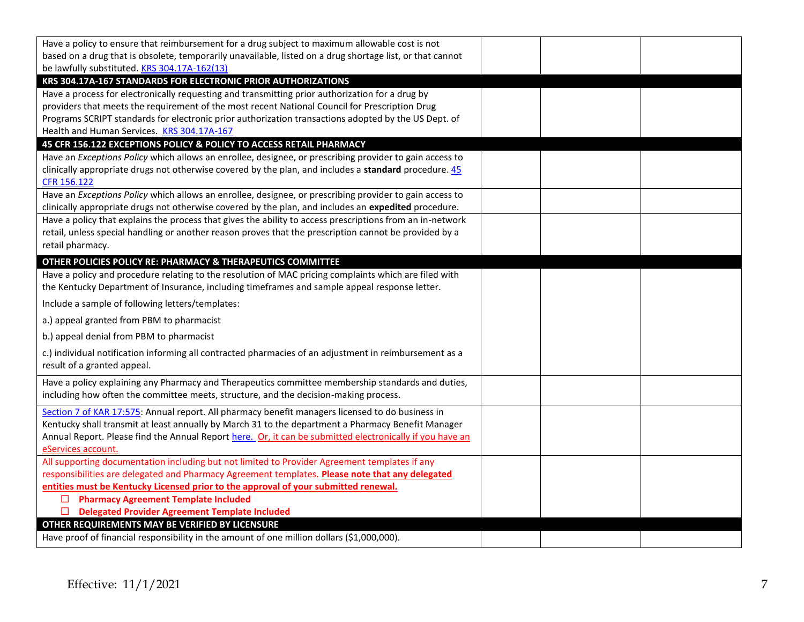| Have a policy to ensure that reimbursement for a drug subject to maximum allowable cost is not<br>based on a drug that is obsolete, temporarily unavailable, listed on a drug shortage list, or that cannot |  |  |
|-------------------------------------------------------------------------------------------------------------------------------------------------------------------------------------------------------------|--|--|
| be lawfully substituted. KRS 304.17A-162(13)                                                                                                                                                                |  |  |
| KRS 304.17A-167 STANDARDS FOR ELECTRONIC PRIOR AUTHORIZATIONS                                                                                                                                               |  |  |
| Have a process for electronically requesting and transmitting prior authorization for a drug by                                                                                                             |  |  |
| providers that meets the requirement of the most recent National Council for Prescription Drug                                                                                                              |  |  |
| Programs SCRIPT standards for electronic prior authorization transactions adopted by the US Dept. of                                                                                                        |  |  |
| Health and Human Services. KRS 304.17A-167                                                                                                                                                                  |  |  |
| 45 CFR 156.122 EXCEPTIONS POLICY & POLICY TO ACCESS RETAIL PHARMACY                                                                                                                                         |  |  |
| Have an Exceptions Policy which allows an enrollee, designee, or prescribing provider to gain access to                                                                                                     |  |  |
| clinically appropriate drugs not otherwise covered by the plan, and includes a standard procedure. 45                                                                                                       |  |  |
| CFR 156.122                                                                                                                                                                                                 |  |  |
| Have an Exceptions Policy which allows an enrollee, designee, or prescribing provider to gain access to                                                                                                     |  |  |
| clinically appropriate drugs not otherwise covered by the plan, and includes an expedited procedure.                                                                                                        |  |  |
| Have a policy that explains the process that gives the ability to access prescriptions from an in-network                                                                                                   |  |  |
| retail, unless special handling or another reason proves that the prescription cannot be provided by a                                                                                                      |  |  |
| retail pharmacy.                                                                                                                                                                                            |  |  |
| OTHER POLICIES POLICY RE: PHARMACY & THERAPEUTICS COMMITTEE                                                                                                                                                 |  |  |
| Have a policy and procedure relating to the resolution of MAC pricing complaints which are filed with                                                                                                       |  |  |
| the Kentucky Department of Insurance, including timeframes and sample appeal response letter.                                                                                                               |  |  |
| Include a sample of following letters/templates:                                                                                                                                                            |  |  |
| a.) appeal granted from PBM to pharmacist                                                                                                                                                                   |  |  |
| b.) appeal denial from PBM to pharmacist                                                                                                                                                                    |  |  |
| c.) individual notification informing all contracted pharmacies of an adjustment in reimbursement as a                                                                                                      |  |  |
| result of a granted appeal.                                                                                                                                                                                 |  |  |
| Have a policy explaining any Pharmacy and Therapeutics committee membership standards and duties,                                                                                                           |  |  |
| including how often the committee meets, structure, and the decision-making process.                                                                                                                        |  |  |
| Section 7 of KAR 17:575: Annual report. All pharmacy benefit managers licensed to do business in                                                                                                            |  |  |
| Kentucky shall transmit at least annually by March 31 to the department a Pharmacy Benefit Manager                                                                                                          |  |  |
| Annual Report. Please find the Annual Report here. Or, it can be submitted electronically if you have an                                                                                                    |  |  |
| eServices account.                                                                                                                                                                                          |  |  |
| All supporting documentation including but not limited to Provider Agreement templates if any                                                                                                               |  |  |
| responsibilities are delegated and Pharmacy Agreement templates. Please note that any delegated                                                                                                             |  |  |
| entities must be Kentucky Licensed prior to the approval of your submitted renewal.                                                                                                                         |  |  |
| □ Pharmacy Agreement Template Included                                                                                                                                                                      |  |  |
| <b>Delegated Provider Agreement Template Included</b><br>$\Box$                                                                                                                                             |  |  |
| OTHER REQUIREMENTS MAY BE VERIFIED BY LICENSURE                                                                                                                                                             |  |  |
| Have proof of financial responsibility in the amount of one million dollars (\$1,000,000).                                                                                                                  |  |  |